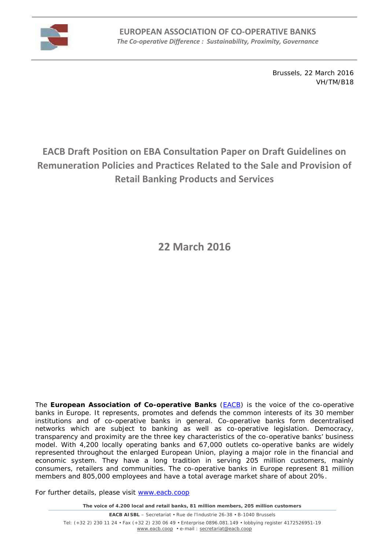

Brussels, 22 March 2016 VH/TM/B18

# **EACB Draft Position on EBA Consultation Paper on Draft Guidelines on Remuneration Policies and Practices Related to the Sale and Provision of Retail Banking Products and Services**

**22 March 2016**

The **European Association of Co-operative Banks** (EACB) is the voice of the co-operative banks in Europe. It represents, promotes and defends the common interests of its 30 member institutions and of co-operative banks in general. Co-operative banks form decentralised networks which are subject to banking as well as co-operative legislation. Democracy, transparency and proximity are the three key characteristics of the co-operative banks' business model. With 4,200 locally operating banks and 67,000 outlets co-operative banks are widely represented throughout the enlarged European Union, playing a major role in the financial and economic system. They have a long tradition in serving 205 million customers, mainly consumers, retailers and communities. The co-operative banks in Europe represent 81 million members and 805,000 employees and have a total average market share of about 20%.

For further details, please visit www.eacb.coop

*The voice of 4.200 local and retail banks, 81 million members, 205 million customers*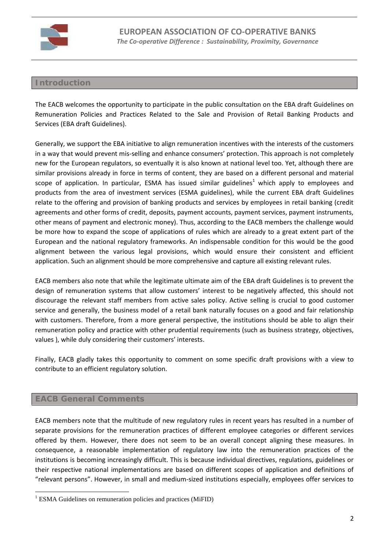

# **Introduction**

The EACB welcomes the opportunity to participate in the public consultation on the EBA draft Guidelines on Remuneration Policies and Practices Related to the Sale and Provision of Retail Banking Products and Services (EBA draft Guidelines).

Generally, we support the EBA initiative to align remuneration incentives with the interests of the customers in a way that would prevent mis-selling and enhance consumers' protection. This approach is not completely new for the European regulators, so eventually it is also known at national level too. Yet, although there are similar provisions already in force in terms of content, they are based on a different personal and material scope of application. In particular, ESMA has issued similar guidelines<sup>1</sup> which apply to employees and products from the area of investment services (ESMA guidelines), while the current EBA draft Guidelines relate to the offering and provision of banking products and services by employees in retail banking (credit agreements and other forms of credit, deposits, payment accounts, payment services, payment instruments, other means of payment and electronic money). Thus, according to the EACB members the challenge would be more how to expand the scope of applications of rules which are already to a great extent part of the European and the national regulatory frameworks. An indispensable condition for this would be the good alignment between the various legal provisions, which would ensure their consistent and efficient application. Such an alignment should be more comprehensive and capture all existing relevant rules.

EACB members also note that while the legitimate ultimate aim of the EBA draft Guidelines is to prevent the design of remuneration systems that allow customers' interest to be negatively affected, this should not discourage the relevant staff members from active sales policy. Active selling is crucial to good customer service and generally, the business model of a retail bank naturally focuses on a good and fair relationship with customers. Therefore, from a more general perspective, the institutions should be able to align their remuneration policy and practice with other prudential requirements (such as business strategy, objectives, values ), while duly considering their customers' interests.

Finally, EACB gladly takes this opportunity to comment on some specific draft provisions with a view to contribute to an efficient regulatory solution.

# **EACB General Comments**

EACB members note that the multitude of new regulatory rules in recent years has resulted in a number of separate provisions for the remuneration practices of different employee categories or different services offered by them. However, there does not seem to be an overall concept aligning these measures. In consequence, a reasonable implementation of regulatory law into the remuneration practices of the institutions is becoming increasingly difficult. This is because individual directives, regulations, guidelines or their respective national implementations are based on different scopes of application and definitions of "relevant persons". However, in small and medium-sized institutions especially, employees offer services to

<sup>&</sup>lt;sup>1</sup> ESMA Guidelines on remuneration policies and practices (MiFID)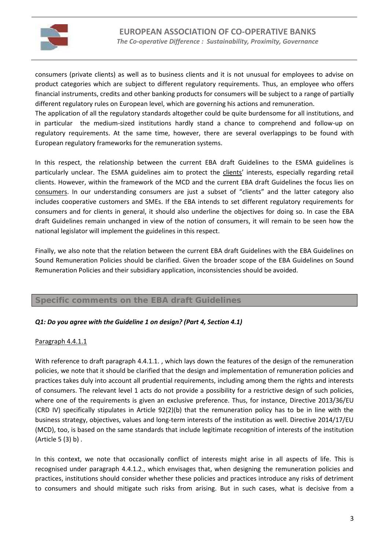

consumers (private clients) as well as to business clients and it is not unusual for employees to advise on product categories which are subject to different regulatory requirements. Thus, an employee who offers financial instruments, credits and other banking products for consumers will be subject to a range of partially different regulatory rules on European level, which are governing his actions and remuneration.

The application of all the regulatory standards altogether could be quite burdensome for all institutions, and in particular the medium-sized institutions hardly stand a chance to comprehend and follow-up on regulatory requirements. At the same time, however, there are several overlappings to be found with European regulatory frameworks for the remuneration systems.

In this respect, the relationship between the current EBA draft Guidelines to the ESMA guidelines is particularly unclear. The ESMA guidelines aim to protect the clients' interests, especially regarding retail clients. However, within the framework of the MCD and the current EBA draft Guidelines the focus lies on consumers. In our understanding consumers are just a subset of "clients" and the latter category also includes cooperative customers and SMEs. If the EBA intends to set different regulatory requirements for consumers and for clients in general, it should also underline the objectives for doing so. In case the EBA draft Guidelines remain unchanged in view of the notion of consumers, it will remain to be seen how the national legislator will implement the guidelines in this respect.

Finally, we also note that the relation between the current EBA draft Guidelines with the EBA Guidelines on Sound Remuneration Policies should be clarified. Given the broader scope of the EBA Guidelines on Sound Remuneration Policies and their subsidiary application, inconsistencies should be avoided.

# **Specific comments on the EBA draft Guidelines**

# *Q1: Do you agree with the Guideline 1 on design? (Part 4, Section 4.1)*

# Paragraph 4.4.1.1

With reference to draft paragraph 4.4.1.1., which lays down the features of the design of the remuneration policies, we note that it should be clarified that the design and implementation of remuneration policies and practices takes duly into account all prudential requirements, including among them the rights and interests of consumers. The relevant level 1 acts do not provide a possibility for a restrictive design of such policies, where one of the requirements is given an exclusive preference. Thus, for instance, Directive 2013/36/EU (CRD IV) specifically stipulates in Article 92(2)(b) that the remuneration policy has to be in line with the business strategy, objectives, values and long-term interests of the institution as well. Directive 2014/17/EU (MCD), too, is based on the same standards that include legitimate recognition of interests of the institution (Article 5 (3) b) .

In this context, we note that occasionally conflict of interests might arise in all aspects of life. This is recognised under paragraph 4.4.1.2., which envisages that, when designing the remuneration policies and practices, institutions should consider whether these policies and practices introduce any risks of detriment to consumers and should mitigate such risks from arising. But in such cases, what is decisive from a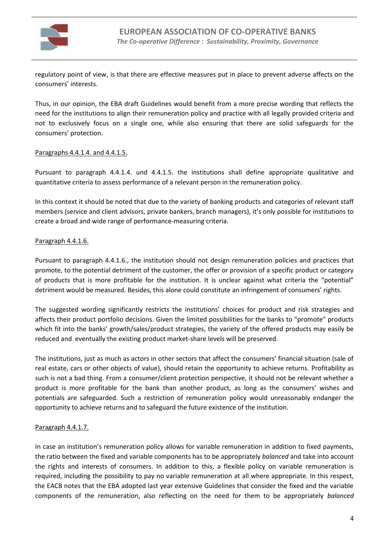

regulatory point of view, is that there are effective measures put in place to prevent adverse affects on the consumers' interests.

Thus, in our opinion, the EBA draft Guidelines would benefit from a more precise wording that reflects the need for the institutions to align their remuneration policy and practice with all legally provided criteria and not to exclusively focus on a single one, while also ensuring that there are solid safeguards for the consumers' protection.

## Paragraphs 4.4.1.4. and 4.4.1.5.

Pursuant to paragraph 4.4.1.4. und 4.4.1.5. the institutions shall define appropriate qualitative and quantitative criteria to assess performance of a relevant person in the remuneration policy.

In this context it should be noted that due to the variety of banking products and categories of relevant staff members (service and client advisors, private bankers, branch managers), it's only possible for institutions to create a broad and wide range of performance-measuring criteria.

## Paragraph 4.4.1.6.

Pursuant to paragraph 4.4.1.6., the institution should not design remuneration policies and practices that promote, to the potential detriment of the customer, the offer or provision of a specific product or category of products that is more profitable for the institution. It is unclear against what criteria the "potential" detriment would be measured. Besides, this alone could constitute an infringement of consumers' rights.

The suggested wording significantly restricts the institutions' choices for product and risk strategies and affects their product portfolio decisions. Given the limited possibilities for the banks to "promote" products which fit into the banks' growth/sales/product strategies, the variety of the offered products may easily be reduced and eventually the existing product market-share levels will be preserved.

The institutions, just as much as actors in other sectors that affect the consumers' financial situation (sale of real estate, cars or other objects of value), should retain the opportunity to achieve returns. Profitability as such is not a bad thing. From a consumer/client protection perspective, it should not be relevant whether a product is more profitable for the bank than another product, as long as the consumers' wishes and potentials are safeguarded. Such a restriction of remuneration policy would unreasonably endanger the opportunity to achieve returns and to safeguard the future existence of the institution.

# Paragraph 4.4.1.7.

In case an institution's remuneration policy allows for variable remuneration in addition to fixed payments, the ratio between the fixed and variable components has to be appropriately *balanced* and take into account the rights and interests of consumers. In addition to this, a flexible policy on variable remuneration is required, including the possibility to pay no variable remuneration at all where appropriate. In this respect, the EACB notes that the EBA adopted last year extensive Guidelines that consider the fixed and the variable components of the remuneration, also reflecting on the need for them to be appropriately *balanced*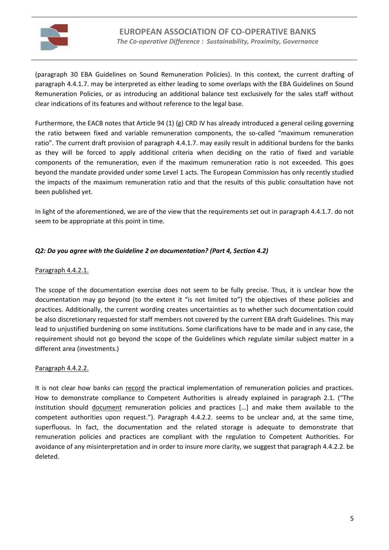

(paragraph 30 EBA Guidelines on Sound Remuneration Policies). In this context, the current drafting of paragraph 4.4.1.7. may be interpreted as either leading to some overlaps with the EBA Guidelines on Sound Remuneration Policies, or as introducing an additional balance test exclusively for the sales staff without clear indications of its features and without reference to the legal base.

Furthermore, the EACB notes that Article 94 (1) (g) CRD IV has already introduced a general ceiling governing the ratio between fixed and variable remuneration components, the so-called "maximum remuneration ratio". The current draft provision of paragraph 4.4.1.7. may easily result in additional burdens for the banks as they will be forced to apply additional criteria when deciding on the ratio of fixed and variable components of the remuneration, even if the maximum remuneration ratio is not exceeded. This goes beyond the mandate provided under some Level 1 acts. The European Commission has only recently studied the impacts of the maximum remuneration ratio and that the results of this public consultation have not been published yet.

In light of the aforementioned, we are of the view that the requirements set out in paragraph 4.4.1.7. do not seem to be appropriate at this point in time.

# *Q2: Do you agree with the Guideline 2 on documentation? (Part 4, Section 4.2)*

# Paragraph 4.4.2.1.

The scope of the documentation exercise does not seem to be fully precise. Thus, it is unclear how the documentation may go beyond (to the extent it "is not limited to") the objectives of these policies and practices. Additionally, the current wording creates uncertainties as to whether such documentation could be also discretionary requested for staff members not covered by the current EBA draft Guidelines. This may lead to unjustified burdening on some institutions. Some clarifications have to be made and in any case, the requirement should not go beyond the scope of the Guidelines which regulate similar subject matter in a different area (investments.)

# Paragraph 4.4.2.2.

It is not clear how banks can record the practical implementation of remuneration policies and practices. How to demonstrate compliance to Competent Authorities is already explained in paragraph 2.1. ("The institution should document remuneration policies and practices […] and make them available to the competent authorities upon request."). Paragraph 4.4.2.2. seems to be unclear and, at the same time, superfluous. In fact, the documentation and the related storage is adequate to demonstrate that remuneration policies and practices are compliant with the regulation to Competent Authorities. For avoidance of any misinterpretation and in order to insure more clarity, we suggest that paragraph 4.4.2.2. be deleted.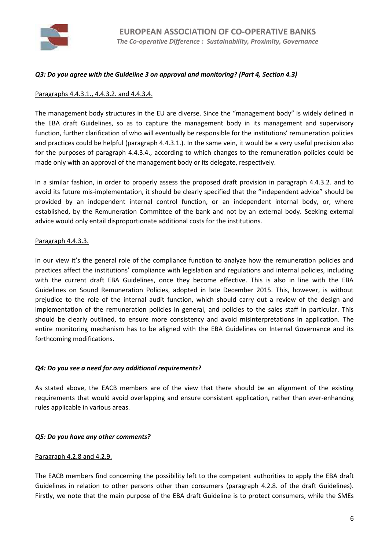

## *Q3: Do you agree with the Guideline 3 on approval and monitoring? (Part 4, Section 4.3)*

## Paragraphs 4.4.3.1., 4.4.3.2. and 4.4.3.4.

The management body structures in the EU are diverse. Since the "management body" is widely defined in the EBA draft Guidelines, so as to capture the management body in its management and supervisory function, further clarification of who will eventually be responsible for the institutions' remuneration policies and practices could be helpful (paragraph 4.4.3.1.). In the same vein, it would be a very useful precision also for the purposes of paragraph 4.4.3.4., according to which changes to the remuneration policies could be made only with an approval of the management body or its delegate, respectively.

In a similar fashion, in order to properly assess the proposed draft provision in paragraph 4.4.3.2. and to avoid its future mis-implementation, it should be clearly specified that the "independent advice" should be provided by an independent internal control function, or an independent internal body, or, where established, by the Remuneration Committee of the bank and not by an external body. Seeking external advice would only entail disproportionate additional costs for the institutions.

## Paragraph 4.4.3.3.

In our view it's the general role of the compliance function to analyze how the remuneration policies and practices affect the institutions' compliance with legislation and regulations and internal policies, including with the current draft EBA Guidelines, once they become effective. This is also in line with the EBA Guidelines on Sound Remuneration Policies, adopted in late December 2015. This, however, is without prejudice to the role of the internal audit function, which should carry out a review of the design and implementation of the remuneration policies in general, and policies to the sales staff in particular. This should be clearly outlined, to ensure more consistency and avoid misinterpretations in application. The entire monitoring mechanism has to be aligned with the EBA Guidelines on Internal Governance and its forthcoming modifications.

#### *Q4: Do you see a need for any additional requirements?*

As stated above, the EACB members are of the view that there should be an alignment of the existing requirements that would avoid overlapping and ensure consistent application, rather than ever-enhancing rules applicable in various areas.

#### *Q5: Do you have any other comments?*

#### Paragraph 4.2.8 and 4.2.9.

The EACB members find concerning the possibility left to the competent authorities to apply the EBA draft Guidelines in relation to other persons other than consumers (paragraph 4.2.8. of the draft Guidelines). Firstly, we note that the main purpose of the EBA draft Guideline is to protect consumers, while the SMEs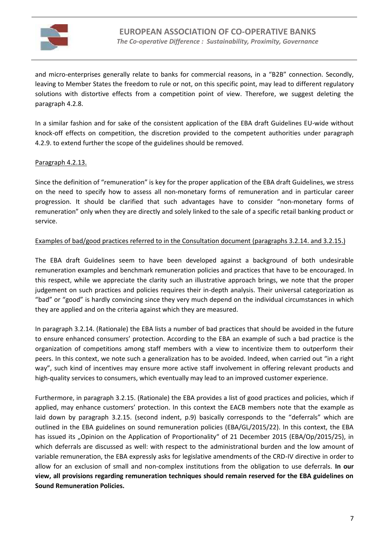

and micro-enterprises generally relate to banks for commercial reasons, in a "B2B" connection. Secondly, leaving to Member States the freedom to rule or not, on this specific point, may lead to different regulatory solutions with distortive effects from a competition point of view. Therefore, we suggest deleting the paragraph 4.2.8.

In a similar fashion and for sake of the consistent application of the EBA draft Guidelines EU-wide without knock-off effects on competition, the discretion provided to the competent authorities under paragraph 4.2.9. to extend further the scope of the guidelines should be removed.

## Paragraph 4.2.13.

Since the definition of "remuneration" is key for the proper application of the EBA draft Guidelines, we stress on the need to specify how to assess all non-monetary forms of remuneration and in particular career progression. It should be clarified that such advantages have to consider "non-monetary forms of remuneration" only when they are directly and solely linked to the sale of a specific retail banking product or service.

## Examples of bad/good practices referred to in the Consultation document (paragraphs 3.2.14. and 3.2.15.)

The EBA draft Guidelines seem to have been developed against a background of both undesirable remuneration examples and benchmark remuneration policies and practices that have to be encouraged. In this respect, while we appreciate the clarity such an illustrative approach brings, we note that the proper judgement on such practices and policies requires their in-depth analysis. Their universal categorization as "bad" or "good" is hardly convincing since they very much depend on the individual circumstances in which they are applied and on the criteria against which they are measured.

In paragraph 3.2.14. (Rationale) the EBA lists a number of bad practices that should be avoided in the future to ensure enhanced consumers' protection. According to the EBA an example of such a bad practice is the organization of competitions among staff members with a view to incentivize them to outperform their peers. In this context, we note such a generalization has to be avoided. Indeed, when carried out "in a right way", such kind of incentives may ensure more active staff involvement in offering relevant products and high-quality services to consumers, which eventually may lead to an improved customer experience.

Furthermore, in paragraph 3.2.15. (Rationale) the EBA provides a list of good practices and policies, which if applied, may enhance customers' protection. In this context the EACB members note that the example as laid down by paragraph 3.2.15. (second indent, p.9) basically corresponds to the "deferrals" which are outlined in the EBA guidelines on sound remuneration policies (EBA/GL/2015/22). In this context, the EBA has issued its "Opinion on the Application of Proportionality" of 21 December 2015 (EBA/Op/2015/25), in which deferrals are discussed as well: with respect to the administrational burden and the low amount of variable remuneration, the EBA expressly asks for legislative amendments of the CRD-IV directive in order to allow for an exclusion of small and non-complex institutions from the obligation to use deferrals. **In our view, all provisions regarding remuneration techniques should remain reserved for the EBA guidelines on Sound Remuneration Policies.**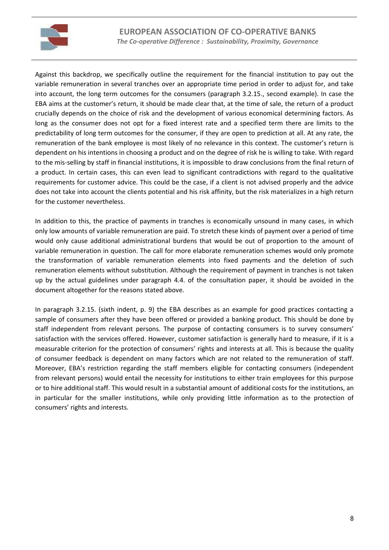

Against this backdrop, we specifically outline the requirement for the financial institution to pay out the variable remuneration in several tranches over an appropriate time period in order to adjust for, and take into account, the long term outcomes for the consumers (paragraph 3.2.15., second example). In case the EBA aims at the customer's return, it should be made clear that, at the time of sale, the return of a product crucially depends on the choice of risk and the development of various economical determining factors. As long as the consumer does not opt for a fixed interest rate and a specified term there are limits to the predictability of long term outcomes for the consumer, if they are open to prediction at all. At any rate, the remuneration of the bank employee is most likely of no relevance in this context. The customer's return is dependent on his intentions in choosing a product and on the degree of risk he is willing to take. With regard to the mis-selling by staff in financial institutions, it is impossible to draw conclusions from the final return of a product. In certain cases, this can even lead to significant contradictions with regard to the qualitative requirements for customer advice. This could be the case, if a client is not advised properly and the advice does not take into account the clients potential and his risk affinity, but the risk materializes in a high return for the customer nevertheless.

In addition to this, the practice of payments in tranches is economically unsound in many cases, in which only low amounts of variable remuneration are paid. To stretch these kinds of payment over a period of time would only cause additional administrational burdens that would be out of proportion to the amount of variable remuneration in question. The call for more elaborate remuneration schemes would only promote the transformation of variable remuneration elements into fixed payments and the deletion of such remuneration elements without substitution. Although the requirement of payment in tranches is not taken up by the actual guidelines under paragraph 4.4. of the consultation paper, it should be avoided in the document altogether for the reasons stated above.

In paragraph 3.2.15. (sixth indent, p. 9) the EBA describes as an example for good practices contacting a sample of consumers after they have been offered or provided a banking product. This should be done by staff independent from relevant persons. The purpose of contacting consumers is to survey consumers' satisfaction with the services offered. However, customer satisfaction is generally hard to measure, if it is a measurable criterion for the protection of consumers' rights and interests at all. This is because the quality of consumer feedback is dependent on many factors which are not related to the remuneration of staff. Moreover, EBA's restriction regarding the staff members eligible for contacting consumers (independent from relevant persons) would entail the necessity for institutions to either train employees for this purpose or to hire additional staff. This would result in a substantial amount of additional costs for the institutions, an in particular for the smaller institutions, while only providing little information as to the protection of consumers' rights and interests.